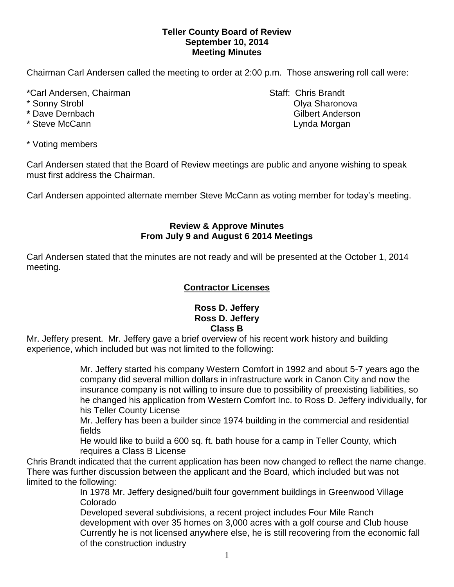### **Teller County Board of Review September 10, 2014 Meeting Minutes**

Chairman Carl Andersen called the meeting to order at 2:00 p.m. Those answering roll call were:

\*Carl Andersen, Chairman Staff: Chris Brandt

- 
- 
- 

\* Voting members

Carl Andersen stated that the Board of Review meetings are public and anyone wishing to speak must first address the Chairman.

Carl Andersen appointed alternate member Steve McCann as voting member for today's meeting.

# **Review & Approve Minutes From July 9 and August 6 2014 Meetings**

Carl Andersen stated that the minutes are not ready and will be presented at the October 1, 2014 meeting.

# **Contractor Licenses**

### **Ross D. Jeffery Ross D. Jeffery Class B**

Mr. Jeffery present. Mr. Jeffery gave a brief overview of his recent work history and building experience, which included but was not limited to the following:

> Mr. Jeffery started his company Western Comfort in 1992 and about 5-7 years ago the company did several million dollars in infrastructure work in Canon City and now the insurance company is not willing to insure due to possibility of preexisting liabilities, so he changed his application from Western Comfort Inc. to Ross D. Jeffery individually, for his Teller County License

Mr. Jeffery has been a builder since 1974 building in the commercial and residential fields

He would like to build a 600 sq. ft. bath house for a camp in Teller County, which requires a Class B License

Chris Brandt indicated that the current application has been now changed to reflect the name change. There was further discussion between the applicant and the Board, which included but was not limited to the following:

In 1978 Mr. Jeffery designed/built four government buildings in Greenwood Village Colorado

Developed several subdivisions, a recent project includes Four Mile Ranch development with over 35 homes on 3,000 acres with a golf course and Club house Currently he is not licensed anywhere else, he is still recovering from the economic fall of the construction industry

\* Sonny Strobl Olya Sharonova **\*** Dave Dernbach Gilbert Anderson \* Steve McCann **Lynda Morgan** Lynda Morgan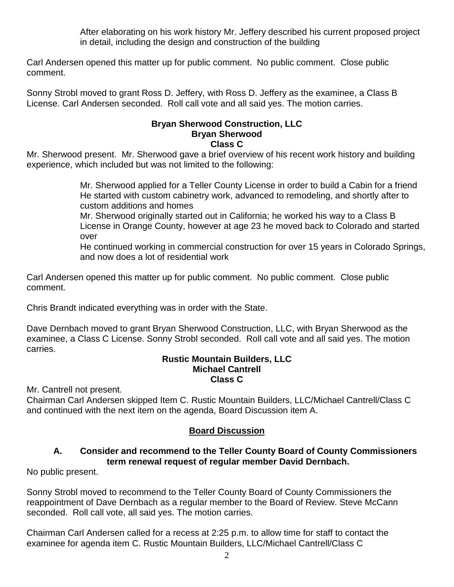After elaborating on his work history Mr. Jeffery described his current proposed project in detail, including the design and construction of the building

Carl Andersen opened this matter up for public comment. No public comment. Close public comment.

Sonny Strobl moved to grant Ross D. Jeffery, with Ross D. Jeffery as the examinee, a Class B License. Carl Andersen seconded. Roll call vote and all said yes. The motion carries.

#### **Bryan Sherwood Construction, LLC Bryan Sherwood Class C**

Mr. Sherwood present. Mr. Sherwood gave a brief overview of his recent work history and building experience, which included but was not limited to the following:

> Mr. Sherwood applied for a Teller County License in order to build a Cabin for a friend He started with custom cabinetry work, advanced to remodeling, and shortly after to custom additions and homes

> Mr. Sherwood originally started out in California; he worked his way to a Class B License in Orange County, however at age 23 he moved back to Colorado and started over

He continued working in commercial construction for over 15 years in Colorado Springs, and now does a lot of residential work

Carl Andersen opened this matter up for public comment. No public comment. Close public comment.

Chris Brandt indicated everything was in order with the State.

Dave Dernbach moved to grant Bryan Sherwood Construction, LLC, with Bryan Sherwood as the examinee, a Class C License. Sonny Strobl seconded. Roll call vote and all said yes. The motion carries.

### **Rustic Mountain Builders, LLC Michael Cantrell Class C**

Mr. Cantrell not present.

Chairman Carl Andersen skipped Item C. Rustic Mountain Builders, LLC/Michael Cantrell/Class C and continued with the next item on the agenda, Board Discussion item A.

# **Board Discussion**

### **A. Consider and recommend to the Teller County Board of County Commissioners term renewal request of regular member David Dernbach.**

No public present.

Sonny Strobl moved to recommend to the Teller County Board of County Commissioners the reappointment of Dave Dernbach as a regular member to the Board of Review. Steve McCann seconded. Roll call vote, all said yes. The motion carries.

Chairman Carl Andersen called for a recess at 2:25 p.m. to allow time for staff to contact the examinee for agenda item C. Rustic Mountain Builders, LLC/Michael Cantrell/Class C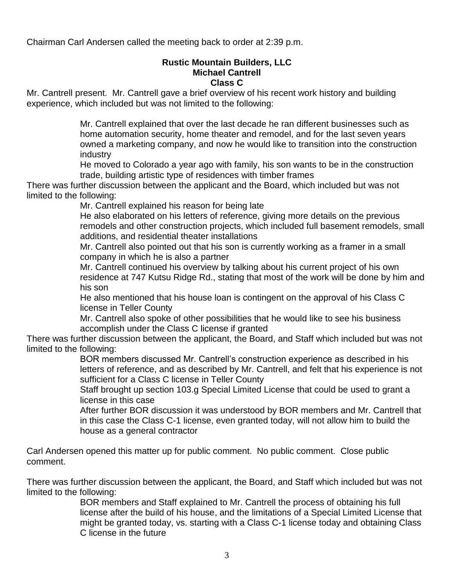Chairman Carl Andersen called the meeting back to order at 2:39 p.m.

#### **Rustic Mountain Builders, LLC Michael Cantrell Class C**

Mr. Cantrell present. Mr. Cantrell gave a brief overview of his recent work history and building experience, which included but was not limited to the following:

> Mr. Cantrell explained that over the last decade he ran different businesses such as home automation security, home theater and remodel, and for the last seven years owned a marketing company, and now he would like to transition into the construction industry

He moved to Colorado a year ago with family, his son wants to be in the construction trade, building artistic type of residences with timber frames

There was further discussion between the applicant and the Board, which included but was not limited to the following:

Mr. Cantrell explained his reason for being late

He also elaborated on his letters of reference, giving more details on the previous remodels and other construction projects, which included full basement remodels, small additions, and residential theater installations

Mr. Cantrell also pointed out that his son is currently working as a framer in a small company in which he is also a partner

Mr. Cantrell continued his overview by talking about his current project of his own residence at 747 Kutsu Ridge Rd., stating that most of the work will be done by him and his son

He also mentioned that his house loan is contingent on the approval of his Class C license in Teller County

Mr. Cantrell also spoke of other possibilities that he would like to see his business accomplish under the Class C license if granted

There was further discussion between the applicant, the Board, and Staff which included but was not limited to the following:

> BOR members discussed Mr. Cantrell's construction experience as described in his letters of reference, and as described by Mr. Cantrell, and felt that his experience is not sufficient for a Class C license in Teller County

Staff brought up section 103.g Special Limited License that could be used to grant a license in this case

After further BOR discussion it was understood by BOR members and Mr. Cantrell that in this case the Class C-1 license, even granted today, will not allow him to build the house as a general contractor

Carl Andersen opened this matter up for public comment. No public comment. Close public comment.

There was further discussion between the applicant, the Board, and Staff which included but was not limited to the following:

BOR members and Staff explained to Mr. Cantrell the process of obtaining his full license after the build of his house, and the limitations of a Special Limited License that might be granted today, vs. starting with a Class C-1 license today and obtaining Class C license in the future